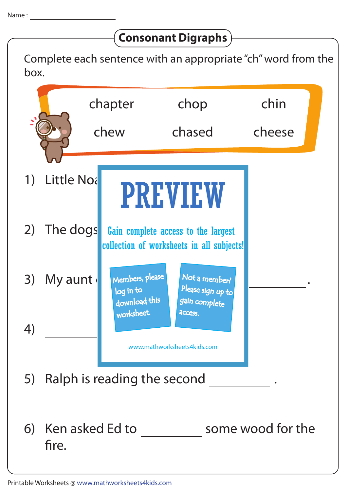## **Consonant Digraphs**

Complete each sentence with an appropriate "ch" word from the box.